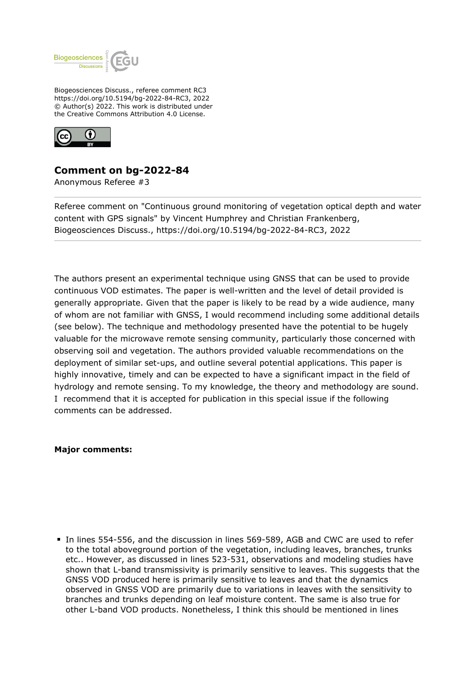

Biogeosciences Discuss., referee comment RC3 https://doi.org/10.5194/bg-2022-84-RC3, 2022 © Author(s) 2022. This work is distributed under the Creative Commons Attribution 4.0 License.



## **Comment on bg-2022-84**

Anonymous Referee #3

Referee comment on "Continuous ground monitoring of vegetation optical depth and water content with GPS signals" by Vincent Humphrey and Christian Frankenberg, Biogeosciences Discuss., https://doi.org/10.5194/bg-2022-84-RC3, 2022

The authors present an experimental technique using GNSS that can be used to provide continuous VOD estimates. The paper is well-written and the level of detail provided is generally appropriate. Given that the paper is likely to be read by a wide audience, many of whom are not familiar with GNSS, I would recommend including some additional details (see below). The technique and methodology presented have the potential to be hugely valuable for the microwave remote sensing community, particularly those concerned with observing soil and vegetation. The authors provided valuable recommendations on the deployment of similar set-ups, and outline several potential applications. This paper is highly innovative, timely and can be expected to have a significant impact in the field of hydrology and remote sensing. To my knowledge, the theory and methodology are sound. I recommend that it is accepted for publication in this special issue if the following comments can be addressed.

## **Major comments:**

In lines 554-556, and the discussion in lines 569-589, AGB and CWC are used to refer to the total aboveground portion of the vegetation, including leaves, branches, trunks etc.. However, as discussed in lines 523-531, observations and modeling studies have shown that L-band transmissivity is primarily sensitive to leaves. This suggests that the GNSS VOD produced here is primarily sensitive to leaves and that the dynamics observed in GNSS VOD are primarily due to variations in leaves with the sensitivity to branches and trunks depending on leaf moisture content. The same is also true for other L-band VOD products. Nonetheless, I think this should be mentioned in lines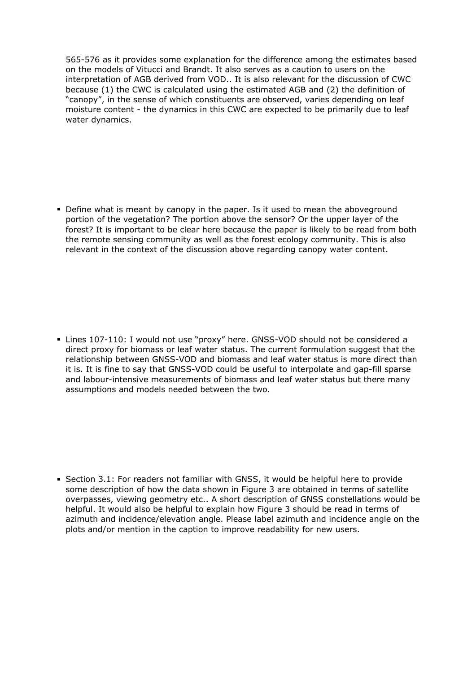565-576 as it provides some explanation for the difference among the estimates based on the models of Vitucci and Brandt. It also serves as a caution to users on the interpretation of AGB derived from VOD.. It is also relevant for the discussion of CWC because (1) the CWC is calculated using the estimated AGB and (2) the definition of "canopy", in the sense of which constituents are observed, varies depending on leaf moisture content - the dynamics in this CWC are expected to be primarily due to leaf water dynamics.

Define what is meant by canopy in the paper. Is it used to mean the aboveground portion of the vegetation? The portion above the sensor? Or the upper layer of the forest? It is important to be clear here because the paper is likely to be read from both the remote sensing community as well as the forest ecology community. This is also relevant in the context of the discussion above regarding canopy water content.

■ Lines 107-110: I would not use "proxy" here. GNSS-VOD should not be considered a direct proxy for biomass or leaf water status. The current formulation suggest that the relationship between GNSS-VOD and biomass and leaf water status is more direct than it is. It is fine to say that GNSS-VOD could be useful to interpolate and gap-fill sparse and labour-intensive measurements of biomass and leaf water status but there many assumptions and models needed between the two.

**Section 3.1: For readers not familiar with GNSS, it would be helpful here to provide** some description of how the data shown in Figure 3 are obtained in terms of satellite overpasses, viewing geometry etc.. A short description of GNSS constellations would be helpful. It would also be helpful to explain how Figure 3 should be read in terms of azimuth and incidence/elevation angle. Please label azimuth and incidence angle on the plots and/or mention in the caption to improve readability for new users.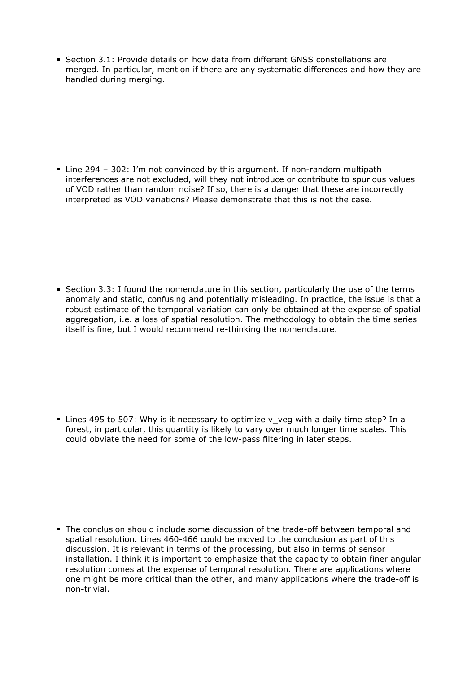Section 3.1: Provide details on how data from different GNSS constellations are merged. In particular, mention if there are any systematic differences and how they are handled during merging.

Line 294 – 302: I'm not convinced by this argument. If non-random multipath interferences are not excluded, will they not introduce or contribute to spurious values of VOD rather than random noise? If so, there is a danger that these are incorrectly interpreted as VOD variations? Please demonstrate that this is not the case.

Section 3.3: I found the nomenclature in this section, particularly the use of the terms anomaly and static, confusing and potentially misleading. In practice, the issue is that a robust estimate of the temporal variation can only be obtained at the expense of spatial aggregation, i.e. a loss of spatial resolution. The methodology to obtain the time series itself is fine, but I would recommend re-thinking the nomenclature.

■ Lines 495 to 507: Why is it necessary to optimize v\_veg with a daily time step? In a forest, in particular, this quantity is likely to vary over much longer time scales. This could obviate the need for some of the low-pass filtering in later steps.

The conclusion should include some discussion of the trade-off between temporal and spatial resolution. Lines 460-466 could be moved to the conclusion as part of this discussion. It is relevant in terms of the processing, but also in terms of sensor installation. I think it is important to emphasize that the capacity to obtain finer angular resolution comes at the expense of temporal resolution. There are applications where one might be more critical than the other, and many applications where the trade-off is non-trivial.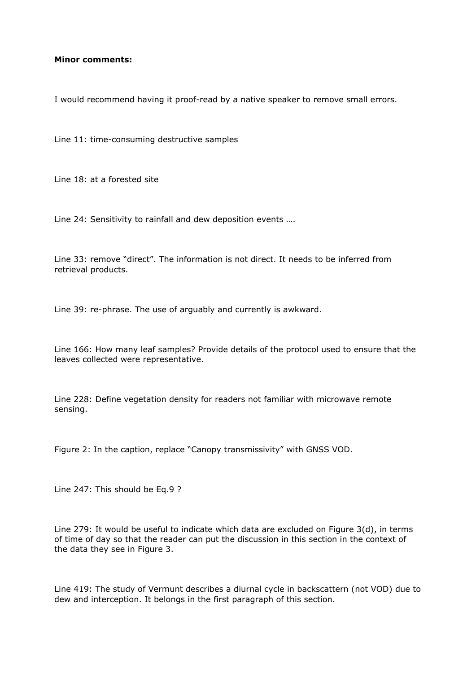## **Minor comments:**

I would recommend having it proof-read by a native speaker to remove small errors.

Line 11: time-consuming destructive samples

Line 18: at a forested site

Line 24: Sensitivity to rainfall and dew deposition events ….

Line 33: remove "direct". The information is not direct. It needs to be inferred from retrieval products.

Line 39: re-phrase. The use of arguably and currently is awkward.

Line 166: How many leaf samples? Provide details of the protocol used to ensure that the leaves collected were representative.

Line 228: Define vegetation density for readers not familiar with microwave remote sensing.

Figure 2: In the caption, replace "Canopy transmissivity" with GNSS VOD.

Line 247: This should be Eq.9 ?

Line 279: It would be useful to indicate which data are excluded on Figure 3(d), in terms of time of day so that the reader can put the discussion in this section in the context of the data they see in Figure 3.

Line 419: The study of Vermunt describes a diurnal cycle in backscattern (not VOD) due to dew and interception. It belongs in the first paragraph of this section.